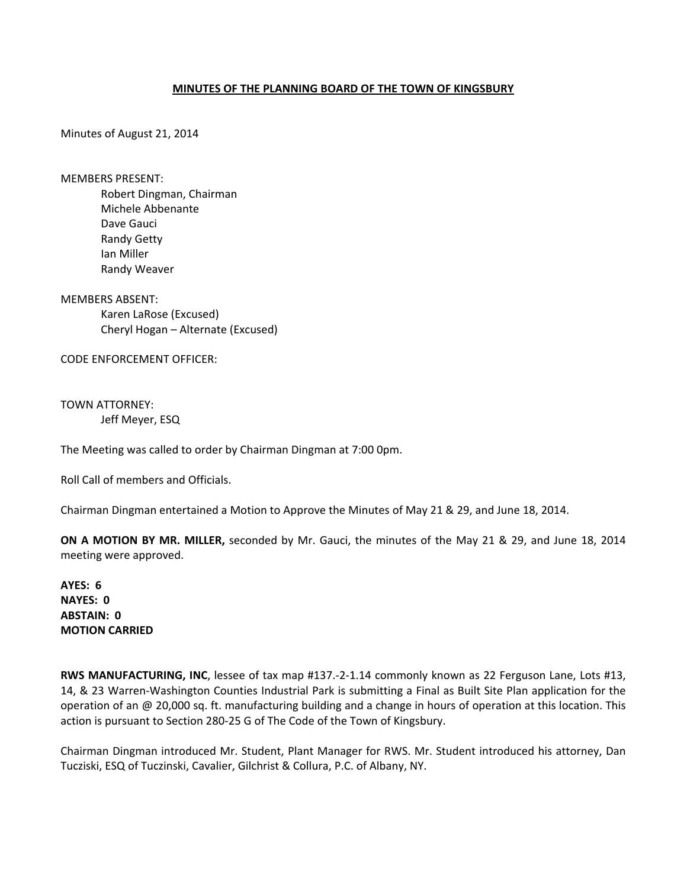## **MINUTES OF THE PLANNING BOARD OF THE TOWN OF KINGSBURY**

Minutes of August 21, 2014

MEMBERS PRESENT:

Robert Dingman, Chairman Michele Abbenante Dave Gauci Randy Getty Ian Miller Randy Weaver

MEMBERS ABSENT: Karen LaRose (Excused) Cheryl Hogan – Alternate (Excused)

CODE ENFORCEMENT OFFICER:

TOWN ATTORNEY: Jeff Meyer, ESQ

The Meeting was called to order by Chairman Dingman at 7:00 0pm.

Roll Call of members and Officials.

Chairman Dingman entertained a Motion to Approve the Minutes of May 21 & 29, and June 18, 2014.

**ON A MOTION BY MR. MILLER,** seconded by Mr. Gauci, the minutes of the May 21 & 29, and June 18, 2014 meeting were approved.

**AYES: 6 NAYES: 0 ABSTAIN: 0 MOTION CARRIED**

**RWS MANUFACTURING, INC**, lessee of tax map #137.‐2‐1.14 commonly known as 22 Ferguson Lane, Lots #13, 14, & 23 Warren‐Washington Counties Industrial Park is submitting a Final as Built Site Plan application for the operation of an @ 20,000 sq. ft. manufacturing building and a change in hours of operation at this location. This action is pursuant to Section 280‐25 G of The Code of the Town of Kingsbury.

Chairman Dingman introduced Mr. Student, Plant Manager for RWS. Mr. Student introduced his attorney, Dan Tucziski, ESQ of Tuczinski, Cavalier, Gilchrist & Collura, P.C. of Albany, NY.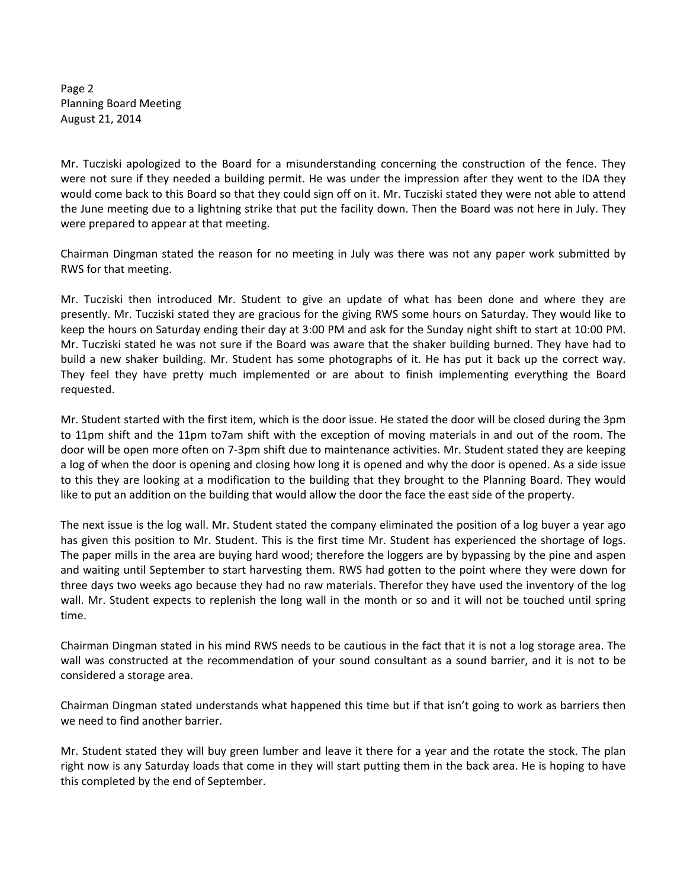Page 2 Planning Board Meeting August 21, 2014

Mr. Tucziski apologized to the Board for a misunderstanding concerning the construction of the fence. They were not sure if they needed a building permit. He was under the impression after they went to the IDA they would come back to this Board so that they could sign off on it. Mr. Tucziski stated they were not able to attend the June meeting due to a lightning strike that put the facility down. Then the Board was not here in July. They were prepared to appear at that meeting.

Chairman Dingman stated the reason for no meeting in July was there was not any paper work submitted by RWS for that meeting.

Mr. Tucziski then introduced Mr. Student to give an update of what has been done and where they are presently. Mr. Tucziski stated they are gracious for the giving RWS some hours on Saturday. They would like to keep the hours on Saturday ending their day at 3:00 PM and ask for the Sunday night shift to start at 10:00 PM. Mr. Tucziski stated he was not sure if the Board was aware that the shaker building burned. They have had to build a new shaker building. Mr. Student has some photographs of it. He has put it back up the correct way. They feel they have pretty much implemented or are about to finish implementing everything the Board requested.

Mr. Student started with the first item, which is the door issue. He stated the door will be closed during the 3pm to 11pm shift and the 11pm to7am shift with the exception of moving materials in and out of the room. The door will be open more often on 7‐3pm shift due to maintenance activities. Mr. Student stated they are keeping a log of when the door is opening and closing how long it is opened and why the door is opened. As a side issue to this they are looking at a modification to the building that they brought to the Planning Board. They would like to put an addition on the building that would allow the door the face the east side of the property.

The next issue is the log wall. Mr. Student stated the company eliminated the position of a log buyer a year ago has given this position to Mr. Student. This is the first time Mr. Student has experienced the shortage of logs. The paper mills in the area are buying hard wood; therefore the loggers are by bypassing by the pine and aspen and waiting until September to start harvesting them. RWS had gotten to the point where they were down for three days two weeks ago because they had no raw materials. Therefor they have used the inventory of the log wall. Mr. Student expects to replenish the long wall in the month or so and it will not be touched until spring time.

Chairman Dingman stated in his mind RWS needs to be cautious in the fact that it is not a log storage area. The wall was constructed at the recommendation of your sound consultant as a sound barrier, and it is not to be considered a storage area.

Chairman Dingman stated understands what happened this time but if that isn't going to work as barriers then we need to find another barrier.

Mr. Student stated they will buy green lumber and leave it there for a year and the rotate the stock. The plan right now is any Saturday loads that come in they will start putting them in the back area. He is hoping to have this completed by the end of September.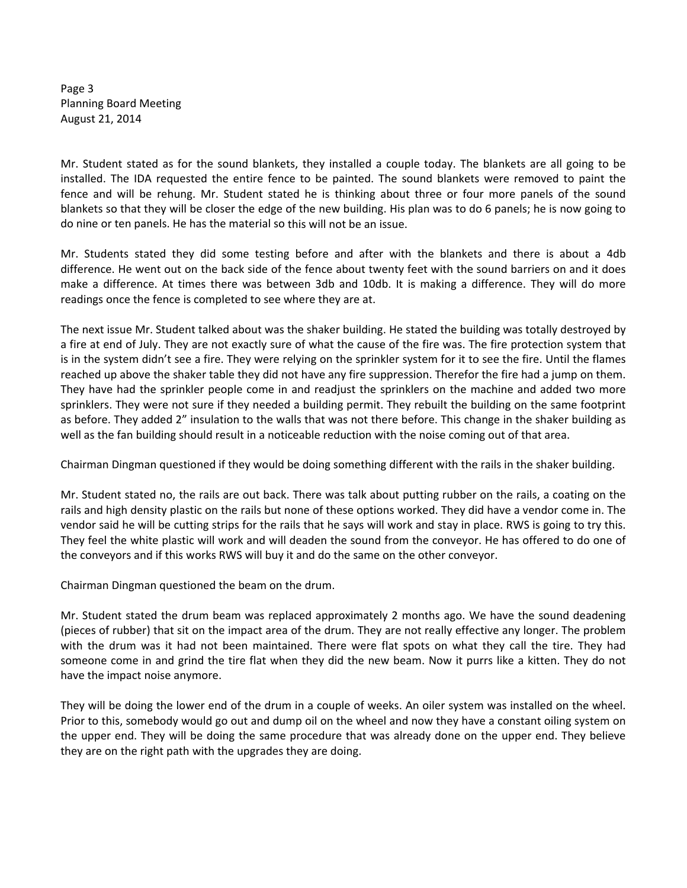Page 3 Planning Board Meeting August 21, 2014

Mr. Student stated as for the sound blankets, they installed a couple today. The blankets are all going to be installed. The IDA requested the entire fence to be painted. The sound blankets were removed to paint the fence and will be rehung. Mr. Student stated he is thinking about three or four more panels of the sound blankets so that they will be closer the edge of the new building. His plan was to do 6 panels; he is now going to do nine or ten panels. He has the material so this will not be an issue.

Mr. Students stated they did some testing before and after with the blankets and there is about a 4db difference. He went out on the back side of the fence about twenty feet with the sound barriers on and it does make a difference. At times there was between 3db and 10db. It is making a difference. They will do more readings once the fence is completed to see where they are at.

The next issue Mr. Student talked about was the shaker building. He stated the building was totally destroyed by a fire at end of July. They are not exactly sure of what the cause of the fire was. The fire protection system that is in the system didn't see a fire. They were relying on the sprinkler system for it to see the fire. Until the flames reached up above the shaker table they did not have any fire suppression. Therefor the fire had a jump on them. They have had the sprinkler people come in and readjust the sprinklers on the machine and added two more sprinklers. They were not sure if they needed a building permit. They rebuilt the building on the same footprint as before. They added 2" insulation to the walls that was not there before. This change in the shaker building as well as the fan building should result in a noticeable reduction with the noise coming out of that area.

Chairman Dingman questioned if they would be doing something different with the rails in the shaker building.

Mr. Student stated no, the rails are out back. There was talk about putting rubber on the rails, a coating on the rails and high density plastic on the rails but none of these options worked. They did have a vendor come in. The vendor said he will be cutting strips for the rails that he says will work and stay in place. RWS is going to try this. They feel the white plastic will work and will deaden the sound from the conveyor. He has offered to do one of the conveyors and if this works RWS will buy it and do the same on the other conveyor.

Chairman Dingman questioned the beam on the drum.

Mr. Student stated the drum beam was replaced approximately 2 months ago. We have the sound deadening (pieces of rubber) that sit on the impact area of the drum. They are not really effective any longer. The problem with the drum was it had not been maintained. There were flat spots on what they call the tire. They had someone come in and grind the tire flat when they did the new beam. Now it purrs like a kitten. They do not have the impact noise anymore.

They will be doing the lower end of the drum in a couple of weeks. An oiler system was installed on the wheel. Prior to this, somebody would go out and dump oil on the wheel and now they have a constant oiling system on the upper end. They will be doing the same procedure that was already done on the upper end. They believe they are on the right path with the upgrades they are doing.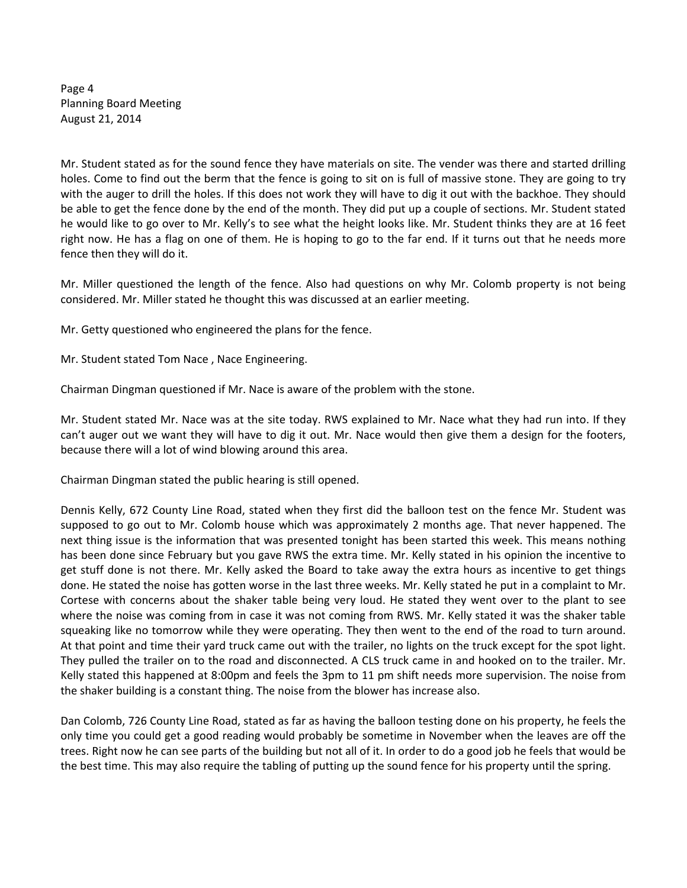Page 4 Planning Board Meeting August 21, 2014

Mr. Student stated as for the sound fence they have materials on site. The vender was there and started drilling holes. Come to find out the berm that the fence is going to sit on is full of massive stone. They are going to try with the auger to drill the holes. If this does not work they will have to dig it out with the backhoe. They should be able to get the fence done by the end of the month. They did put up a couple of sections. Mr. Student stated he would like to go over to Mr. Kelly's to see what the height looks like. Mr. Student thinks they are at 16 feet right now. He has a flag on one of them. He is hoping to go to the far end. If it turns out that he needs more fence then they will do it.

Mr. Miller questioned the length of the fence. Also had questions on why Mr. Colomb property is not being considered. Mr. Miller stated he thought this was discussed at an earlier meeting.

Mr. Getty questioned who engineered the plans for the fence.

Mr. Student stated Tom Nace , Nace Engineering.

Chairman Dingman questioned if Mr. Nace is aware of the problem with the stone.

Mr. Student stated Mr. Nace was at the site today. RWS explained to Mr. Nace what they had run into. If they can't auger out we want they will have to dig it out. Mr. Nace would then give them a design for the footers, because there will a lot of wind blowing around this area.

Chairman Dingman stated the public hearing is still opened.

Dennis Kelly, 672 County Line Road, stated when they first did the balloon test on the fence Mr. Student was supposed to go out to Mr. Colomb house which was approximately 2 months age. That never happened. The next thing issue is the information that was presented tonight has been started this week. This means nothing has been done since February but you gave RWS the extra time. Mr. Kelly stated in his opinion the incentive to get stuff done is not there. Mr. Kelly asked the Board to take away the extra hours as incentive to get things done. He stated the noise has gotten worse in the last three weeks. Mr. Kelly stated he put in a complaint to Mr. Cortese with concerns about the shaker table being very loud. He stated they went over to the plant to see where the noise was coming from in case it was not coming from RWS. Mr. Kelly stated it was the shaker table squeaking like no tomorrow while they were operating. They then went to the end of the road to turn around. At that point and time their yard truck came out with the trailer, no lights on the truck except for the spot light. They pulled the trailer on to the road and disconnected. A CLS truck came in and hooked on to the trailer. Mr. Kelly stated this happened at 8:00pm and feels the 3pm to 11 pm shift needs more supervision. The noise from the shaker building is a constant thing. The noise from the blower has increase also.

Dan Colomb, 726 County Line Road, stated as far as having the balloon testing done on his property, he feels the only time you could get a good reading would probably be sometime in November when the leaves are off the trees. Right now he can see parts of the building but not all of it. In order to do a good job he feels that would be the best time. This may also require the tabling of putting up the sound fence for his property until the spring.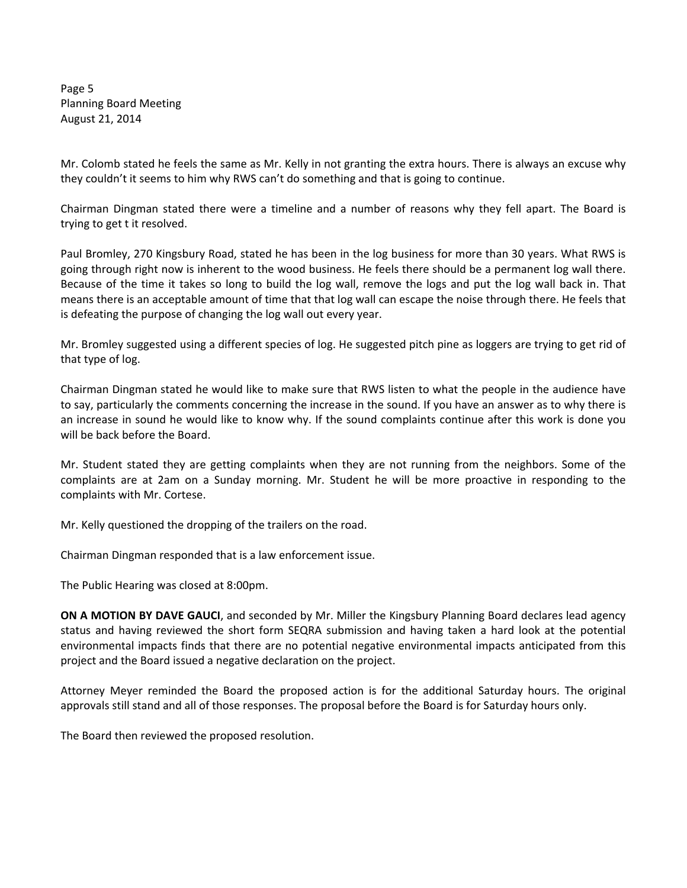Page 5 Planning Board Meeting August 21, 2014

Mr. Colomb stated he feels the same as Mr. Kelly in not granting the extra hours. There is always an excuse why they couldn't it seems to him why RWS can't do something and that is going to continue.

Chairman Dingman stated there were a timeline and a number of reasons why they fell apart. The Board is trying to get t it resolved.

Paul Bromley, 270 Kingsbury Road, stated he has been in the log business for more than 30 years. What RWS is going through right now is inherent to the wood business. He feels there should be a permanent log wall there. Because of the time it takes so long to build the log wall, remove the logs and put the log wall back in. That means there is an acceptable amount of time that that log wall can escape the noise through there. He feels that is defeating the purpose of changing the log wall out every year.

Mr. Bromley suggested using a different species of log. He suggested pitch pine as loggers are trying to get rid of that type of log.

Chairman Dingman stated he would like to make sure that RWS listen to what the people in the audience have to say, particularly the comments concerning the increase in the sound. If you have an answer as to why there is an increase in sound he would like to know why. If the sound complaints continue after this work is done you will be back before the Board.

Mr. Student stated they are getting complaints when they are not running from the neighbors. Some of the complaints are at 2am on a Sunday morning. Mr. Student he will be more proactive in responding to the complaints with Mr. Cortese.

Mr. Kelly questioned the dropping of the trailers on the road.

Chairman Dingman responded that is a law enforcement issue.

The Public Hearing was closed at 8:00pm.

**ON A MOTION BY DAVE GAUCI**, and seconded by Mr. Miller the Kingsbury Planning Board declares lead agency status and having reviewed the short form SEQRA submission and having taken a hard look at the potential environmental impacts finds that there are no potential negative environmental impacts anticipated from this project and the Board issued a negative declaration on the project.

Attorney Meyer reminded the Board the proposed action is for the additional Saturday hours. The original approvals still stand and all of those responses. The proposal before the Board is for Saturday hours only.

The Board then reviewed the proposed resolution.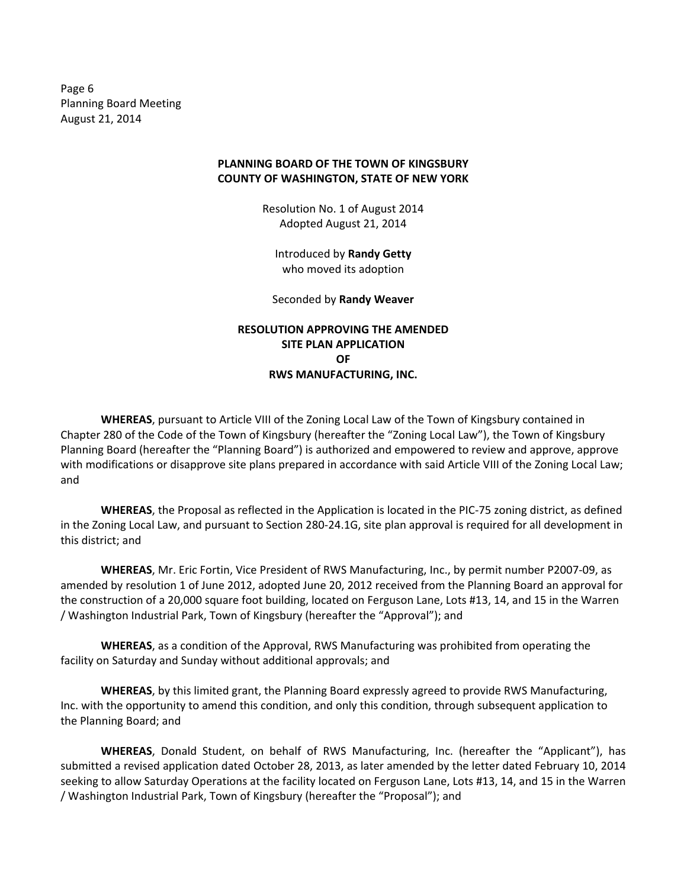Page 6 Planning Board Meeting August 21, 2014

## **PLANNING BOARD OF THE TOWN OF KINGSBURY COUNTY OF WASHINGTON, STATE OF NEW YORK**

Resolution No. 1 of August 2014 Adopted August 21, 2014

Introduced by **Randy Getty** who moved its adoption

Seconded by **Randy Weaver**

**RESOLUTION APPROVING THE AMENDED SITE PLAN APPLICATION OF RWS MANUFACTURING, INC.**

**WHEREAS**, pursuant to Article VIII of the Zoning Local Law of the Town of Kingsbury contained in Chapter 280 of the Code of the Town of Kingsbury (hereafter the "Zoning Local Law"), the Town of Kingsbury Planning Board (hereafter the "Planning Board") is authorized and empowered to review and approve, approve with modifications or disapprove site plans prepared in accordance with said Article VIII of the Zoning Local Law; and

**WHEREAS**, the Proposal as reflected in the Application is located in the PIC‐75 zoning district, as defined in the Zoning Local Law, and pursuant to Section 280‐24.1G, site plan approval is required for all development in this district; and

**WHEREAS**, Mr. Eric Fortin, Vice President of RWS Manufacturing, Inc., by permit number P2007‐09, as amended by resolution 1 of June 2012, adopted June 20, 2012 received from the Planning Board an approval for the construction of a 20,000 square foot building, located on Ferguson Lane, Lots #13, 14, and 15 in the Warren / Washington Industrial Park, Town of Kingsbury (hereafter the "Approval"); and

**WHEREAS**, as a condition of the Approval, RWS Manufacturing was prohibited from operating the facility on Saturday and Sunday without additional approvals; and

**WHEREAS**, by this limited grant, the Planning Board expressly agreed to provide RWS Manufacturing, Inc. with the opportunity to amend this condition, and only this condition, through subsequent application to the Planning Board; and

**WHEREAS**, Donald Student, on behalf of RWS Manufacturing, Inc. (hereafter the "Applicant"), has submitted a revised application dated October 28, 2013, as later amended by the letter dated February 10, 2014 seeking to allow Saturday Operations at the facility located on Ferguson Lane, Lots #13, 14, and 15 in the Warren / Washington Industrial Park, Town of Kingsbury (hereafter the "Proposal"); and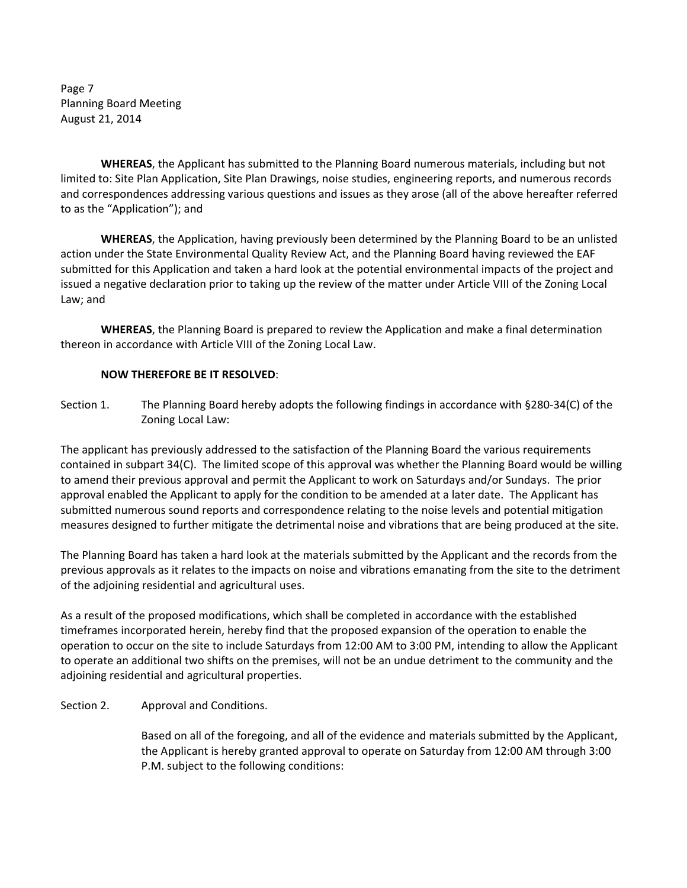Page 7 Planning Board Meeting August 21, 2014

**WHEREAS**, the Applicant has submitted to the Planning Board numerous materials, including but not limited to: Site Plan Application, Site Plan Drawings, noise studies, engineering reports, and numerous records and correspondences addressing various questions and issues as they arose (all of the above hereafter referred to as the "Application"); and

**WHEREAS**, the Application, having previously been determined by the Planning Board to be an unlisted action under the State Environmental Quality Review Act, and the Planning Board having reviewed the EAF submitted for this Application and taken a hard look at the potential environmental impacts of the project and issued a negative declaration prior to taking up the review of the matter under Article VIII of the Zoning Local Law; and

**WHEREAS**, the Planning Board is prepared to review the Application and make a final determination thereon in accordance with Article VIII of the Zoning Local Law.

## **NOW THEREFORE BE IT RESOLVED**:

Section 1. The Planning Board hereby adopts the following findings in accordance with §280-34(C) of the Zoning Local Law:

The applicant has previously addressed to the satisfaction of the Planning Board the various requirements contained in subpart 34(C). The limited scope of this approval was whether the Planning Board would be willing to amend their previous approval and permit the Applicant to work on Saturdays and/or Sundays. The prior approval enabled the Applicant to apply for the condition to be amended at a later date. The Applicant has submitted numerous sound reports and correspondence relating to the noise levels and potential mitigation measures designed to further mitigate the detrimental noise and vibrations that are being produced at the site.

The Planning Board has taken a hard look at the materials submitted by the Applicant and the records from the previous approvals as it relates to the impacts on noise and vibrations emanating from the site to the detriment of the adjoining residential and agricultural uses.

As a result of the proposed modifications, which shall be completed in accordance with the established timeframes incorporated herein, hereby find that the proposed expansion of the operation to enable the operation to occur on the site to include Saturdays from 12:00 AM to 3:00 PM, intending to allow the Applicant to operate an additional two shifts on the premises, will not be an undue detriment to the community and the adjoining residential and agricultural properties.

Section 2. Approval and Conditions.

 Based on all of the foregoing, and all of the evidence and materials submitted by the Applicant, the Applicant is hereby granted approval to operate on Saturday from 12:00 AM through 3:00 P.M. subject to the following conditions: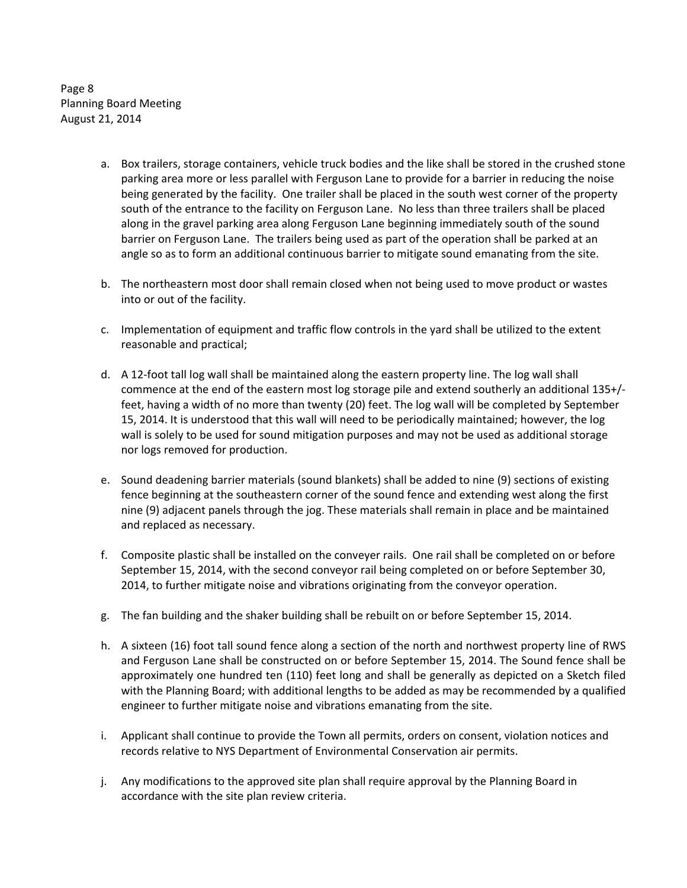Page 8 Planning Board Meeting August 21, 2014

- a. Box trailers, storage containers, vehicle truck bodies and the like shall be stored in the crushed stone parking area more or less parallel with Ferguson Lane to provide for a barrier in reducing the noise being generated by the facility. One trailer shall be placed in the south west corner of the property south of the entrance to the facility on Ferguson Lane. No less than three trailers shall be placed along in the gravel parking area along Ferguson Lane beginning immediately south of the sound barrier on Ferguson Lane. The trailers being used as part of the operation shall be parked at an angle so as to form an additional continuous barrier to mitigate sound emanating from the site.
- b. The northeastern most door shall remain closed when not being used to move product or wastes into or out of the facility.
- c. Implementation of equipment and traffic flow controls in the yard shall be utilized to the extent reasonable and practical;
- d. A 12‐foot tall log wall shall be maintained along the eastern property line. The log wall shall commence at the end of the eastern most log storage pile and extend southerly an additional 135+/‐ feet, having a width of no more than twenty (20) feet. The log wall will be completed by September 15, 2014. It is understood that this wall will need to be periodically maintained; however, the log wall is solely to be used for sound mitigation purposes and may not be used as additional storage nor logs removed for production.
- e. Sound deadening barrier materials (sound blankets) shall be added to nine (9) sections of existing fence beginning at the southeastern corner of the sound fence and extending west along the first nine (9) adjacent panels through the jog. These materials shall remain in place and be maintained and replaced as necessary.
- f. Composite plastic shall be installed on the conveyer rails. One rail shall be completed on or before September 15, 2014, with the second conveyor rail being completed on or before September 30, 2014, to further mitigate noise and vibrations originating from the conveyor operation.
- g. The fan building and the shaker building shall be rebuilt on or before September 15, 2014.
- h. A sixteen (16) foot tall sound fence along a section of the north and northwest property line of RWS and Ferguson Lane shall be constructed on or before September 15, 2014. The Sound fence shall be approximately one hundred ten (110) feet long and shall be generally as depicted on a Sketch filed with the Planning Board; with additional lengths to be added as may be recommended by a qualified engineer to further mitigate noise and vibrations emanating from the site.
- i. Applicant shall continue to provide the Town all permits, orders on consent, violation notices and records relative to NYS Department of Environmental Conservation air permits.
- j. Any modifications to the approved site plan shall require approval by the Planning Board in accordance with the site plan review criteria.